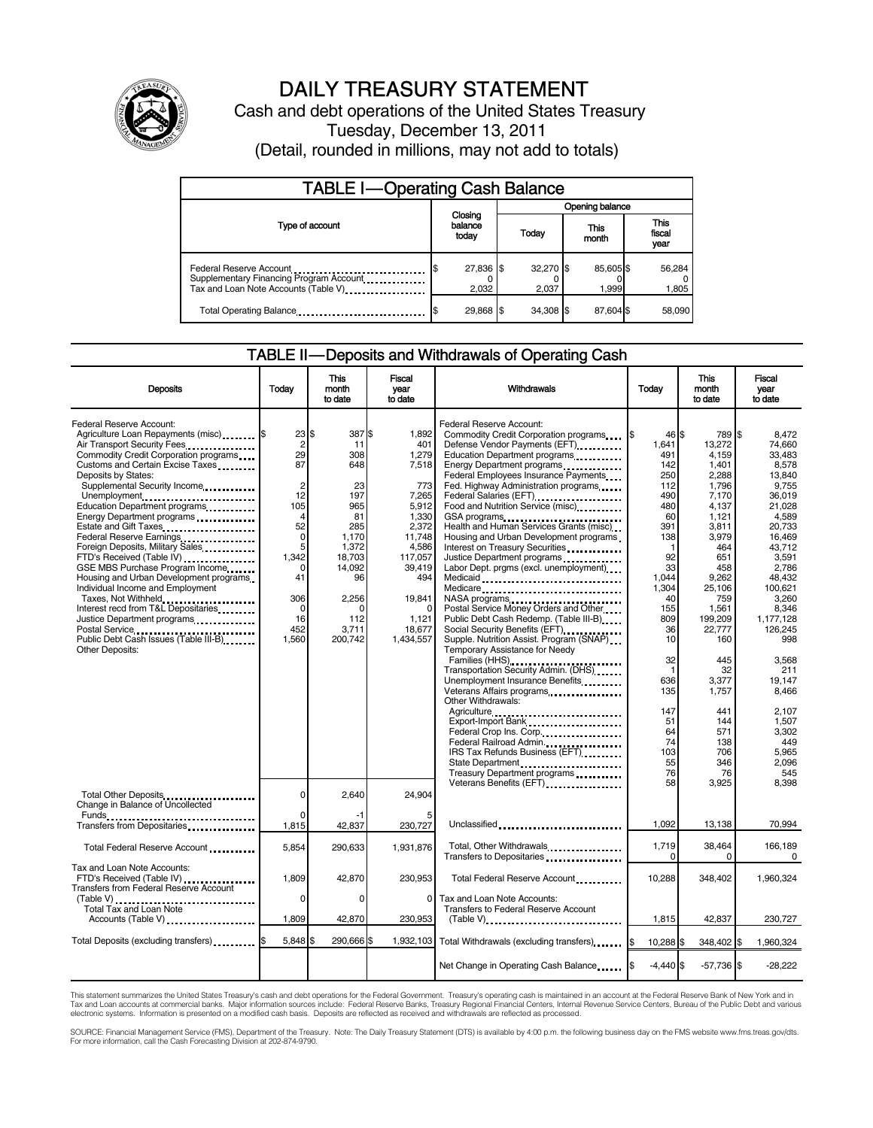

# DAILY TREASURY STATEMENT

Cash and debt operations of the United States Treasury Tuesday, December 13, 2011 (Detail, rounded in millions, may not add to totals)

| <b>TABLE I-Operating Cash Balance</b>                                                                      |                             |                    |  |                    |                        |                   |  |                        |
|------------------------------------------------------------------------------------------------------------|-----------------------------|--------------------|--|--------------------|------------------------|-------------------|--|------------------------|
|                                                                                                            |                             |                    |  |                    | <b>Opening balance</b> |                   |  |                        |
| Type of account                                                                                            | Closing<br>balance<br>today |                    |  | Today              |                        | This<br>month     |  | This<br>fiscal<br>year |
| Federal Reserve Account<br>Supplementary Financing Program Account<br>Tax and Loan Note Accounts (Table V) |                             | 27,836 \$<br>2,032 |  | 32,270 \$<br>2.037 |                        | 85,605\$<br>1,999 |  | 56,284<br>1,805        |
| Total Operating Balance                                                                                    |                             | 29,868 \$          |  | 34.308 \$          |                        | 87.604 \$         |  | 58,090                 |

#### TABLE II — Deposits and Withdrawals of Operating Cash

| <b>Deposits</b>                                                                                                                                                                                                                                                                                                                                                                                                                                                                                                                                                                                                                                                                                                      | Todav                                                                                                                                        | This<br>month<br>to date                                                                                                                         | Fiscal<br>year<br>to date                                                                                                                                                      | <b>Withdrawals</b>                                                                                                                                                                                                                                                                                                                                                                                                                                                                                                                                                                                                                                                                                                                                                                                                                                                                                                                                                                                                                                                         | Todav                                                                                                                                                                                                                                          | <b>This</b><br>month<br>to date                                                                                                                                                                                                                                               | <b>Fiscal</b><br>vear<br>to date                                                                                                                                                                                                                                                                                |
|----------------------------------------------------------------------------------------------------------------------------------------------------------------------------------------------------------------------------------------------------------------------------------------------------------------------------------------------------------------------------------------------------------------------------------------------------------------------------------------------------------------------------------------------------------------------------------------------------------------------------------------------------------------------------------------------------------------------|----------------------------------------------------------------------------------------------------------------------------------------------|--------------------------------------------------------------------------------------------------------------------------------------------------|--------------------------------------------------------------------------------------------------------------------------------------------------------------------------------|----------------------------------------------------------------------------------------------------------------------------------------------------------------------------------------------------------------------------------------------------------------------------------------------------------------------------------------------------------------------------------------------------------------------------------------------------------------------------------------------------------------------------------------------------------------------------------------------------------------------------------------------------------------------------------------------------------------------------------------------------------------------------------------------------------------------------------------------------------------------------------------------------------------------------------------------------------------------------------------------------------------------------------------------------------------------------|------------------------------------------------------------------------------------------------------------------------------------------------------------------------------------------------------------------------------------------------|-------------------------------------------------------------------------------------------------------------------------------------------------------------------------------------------------------------------------------------------------------------------------------|-----------------------------------------------------------------------------------------------------------------------------------------------------------------------------------------------------------------------------------------------------------------------------------------------------------------|
| Federal Reserve Account:<br>Agriculture Loan Repayments (misc) \$<br>Air Transport Security Fees<br>Commodity Credit Corporation programs<br>Customs and Certain Excise Taxes<br>Deposits by States:<br>Supplemental Security Income<br>Unemployment<br>Education Department programs<br>Energy Department programs<br>Estate and Gift Taxes<br>Federal Reserve Earnings<br>Foreign Deposits, Military Sales.<br>FTD's Received (Table IV)<br>GSE MBS Purchase Program Income<br>Housing and Urban Development programs<br>Individual Income and Employment<br>Taxes, Not Withheld<br>Interest recd from T&L Depositaries<br>Justice Department programs<br>Public Debt Cash Issues (Table III-B)<br>Other Deposits: | 23 S<br>$\overline{2}$<br>29<br>87<br>$\overline{2}$<br>12<br>105<br>4<br>52<br>0<br>5<br>1,342<br>C<br>41<br>306<br>0<br>16<br>452<br>1.560 | 387 \$<br>11<br>308<br>648<br>23<br>197<br>965<br>81<br>285<br>1,170<br>1,372<br>18,703<br>14,092<br>96<br>2,256<br>C<br>112<br>3,711<br>200,742 | 1,892<br>401<br>1,279<br>7,518<br>773<br>7,265<br>5,912<br>1,330<br>2,372<br>11,748<br>4,586<br>117,057<br>39,419<br>494<br>19.841<br>$\Omega$<br>1,121<br>18,677<br>1,434,557 | Federal Reserve Account:<br>Commodity Credit Corporation programs<br>Defense Vendor Payments (EFT)<br>Education Department programs<br>Energy Department programs<br><br>Federal Employees Insurance Payments<br>Fed. Highway Administration programs<br>Food and Nutrition Service (misc).<br>GSA programs<br>Health and Human Services Grants (misc)<br>Housing and Urban Development programs<br>Interest on Treasury Securities<br>Justice Department programs<br>Labor Dept. prgms (excl. unemployment)<br>Medicaid<br>Medicare<br>Postal Service Money Orders and Other<br>Public Debt Cash Redemp. (Table III-B)<br>Social Security Benefits (EFT)<br>Supple. Nutrition Assist. Program (SNAP)<br>Temporary Assistance for Needy<br>Families (HHS)<br>Transportation Security Admin. (DHS)<br>Unemployment Insurance Benefits<br>Other Withdrawals:<br>Agriculture<br>Export-Import Bank<br>Federal Crop Ins. Corp.<br>Federal Railroad Admin.<br>IRS Tax Refunds Business (EFT)<br>State Department<br>Treasury Department programs<br>Veterans Benefits (EFT)<br> | 46 \$<br>1.641<br>491<br>142<br>250<br>112<br>490<br>480<br>60<br>391<br>138<br>$\mathbf 1$<br>92<br>33<br>1,044<br>1,304<br>40<br>155<br>809<br>36<br>10<br>32<br>$\mathbf 1$<br>636<br>135<br>147<br>51<br>64<br>74<br>103<br>55<br>76<br>58 | 789 \$<br>13.272<br>4,159<br>1,401<br>2,288<br>1.796<br>7,170<br>4,137<br>1,121<br>3,811<br>3,979<br>464<br>651<br>458<br>9,262<br>25,106<br>759<br>1,561<br>199,209<br>22,777<br>160<br>445<br>32<br>3,377<br>1,757<br>441<br>144<br>571<br>138<br>706<br>346<br>76<br>3,925 | 8.472<br>74.660<br>33.483<br>8,578<br>13.840<br>9.755<br>36,019<br>21.028<br>4.589<br>20.733<br>16.469<br>43.712<br>3.591<br>2,786<br>48,432<br>100.621<br>3.260<br>8,346<br>1,177,128<br>126,245<br>998<br>3,568<br>211<br>19.147<br>8,466<br>2.107<br>1,507<br>3,302<br>449<br>5,965<br>2,096<br>545<br>8.398 |
| Total Other Deposits<br>Change in Balance of Uncollected<br>Funds<br>Transfers from Depositaries                                                                                                                                                                                                                                                                                                                                                                                                                                                                                                                                                                                                                     | $\Omega$<br>$\Omega$<br>1,815                                                                                                                | 2.640<br>42,837                                                                                                                                  | 24.904<br>230,727                                                                                                                                                              | Unclassified                                                                                                                                                                                                                                                                                                                                                                                                                                                                                                                                                                                                                                                                                                                                                                                                                                                                                                                                                                                                                                                               | 1.092                                                                                                                                                                                                                                          | 13,138                                                                                                                                                                                                                                                                        | 70.994                                                                                                                                                                                                                                                                                                          |
| Total Federal Reserve Account                                                                                                                                                                                                                                                                                                                                                                                                                                                                                                                                                                                                                                                                                        | 5,854                                                                                                                                        | 290,633                                                                                                                                          | 1,931,876                                                                                                                                                                      | Total, Other Withdrawals<br>Transfers to Depositaries                                                                                                                                                                                                                                                                                                                                                                                                                                                                                                                                                                                                                                                                                                                                                                                                                                                                                                                                                                                                                      | 1,719<br>0                                                                                                                                                                                                                                     | 38,464<br>$\Omega$                                                                                                                                                                                                                                                            | 166,189<br>0                                                                                                                                                                                                                                                                                                    |
| Tax and Loan Note Accounts:<br>FTD's Received (Table IV)<br>Transfers from Federal Reserve Account<br>(Table V)                                                                                                                                                                                                                                                                                                                                                                                                                                                                                                                                                                                                      | 1.809<br>$\Omega$                                                                                                                            | 42,870<br>$\Omega$                                                                                                                               | 230,953<br>$\Omega$                                                                                                                                                            | Total Federal Reserve Account<br>Tax and Loan Note Accounts:                                                                                                                                                                                                                                                                                                                                                                                                                                                                                                                                                                                                                                                                                                                                                                                                                                                                                                                                                                                                               | 10.288                                                                                                                                                                                                                                         | 348,402                                                                                                                                                                                                                                                                       | 1,960,324                                                                                                                                                                                                                                                                                                       |
| Total Tax and Loan Note<br>Accounts (Table V)                                                                                                                                                                                                                                                                                                                                                                                                                                                                                                                                                                                                                                                                        | 1,809                                                                                                                                        | 42,870                                                                                                                                           | 230,953                                                                                                                                                                        | Transfers to Federal Reserve Account                                                                                                                                                                                                                                                                                                                                                                                                                                                                                                                                                                                                                                                                                                                                                                                                                                                                                                                                                                                                                                       | 1,815                                                                                                                                                                                                                                          | 42,837                                                                                                                                                                                                                                                                        | 230,727                                                                                                                                                                                                                                                                                                         |
| Total Deposits (excluding transfers)                                                                                                                                                                                                                                                                                                                                                                                                                                                                                                                                                                                                                                                                                 | 5,848                                                                                                                                        | 290,666                                                                                                                                          |                                                                                                                                                                                | 1,932,103 Total Withdrawals (excluding transfers) [\$                                                                                                                                                                                                                                                                                                                                                                                                                                                                                                                                                                                                                                                                                                                                                                                                                                                                                                                                                                                                                      | 10,288 \$                                                                                                                                                                                                                                      | 348,402 \$                                                                                                                                                                                                                                                                    | 1,960,324                                                                                                                                                                                                                                                                                                       |
|                                                                                                                                                                                                                                                                                                                                                                                                                                                                                                                                                                                                                                                                                                                      |                                                                                                                                              |                                                                                                                                                  |                                                                                                                                                                                | Net Change in Operating Cash Balance                                                                                                                                                                                                                                                                                                                                                                                                                                                                                                                                                                                                                                                                                                                                                                                                                                                                                                                                                                                                                                       | $-4.440$ \$                                                                                                                                                                                                                                    | $-57,736$ \$                                                                                                                                                                                                                                                                  | $-28,222$                                                                                                                                                                                                                                                                                                       |

This statement summarizes the United States Treasury's cash and debt operations for the Federal Government. Treasury's operating cash is maintained in an account at the Federal Reserve Bank of New York and in<br>Tax and Loan

SOURCE: Financial Management Service (FMS), Department of the Treasury. Note: The Daily Treasury Statement (DTS) is available by 4:00 p.m. the following business day on the FMS website www.fms.treas.gov/dts.<br>For more infor